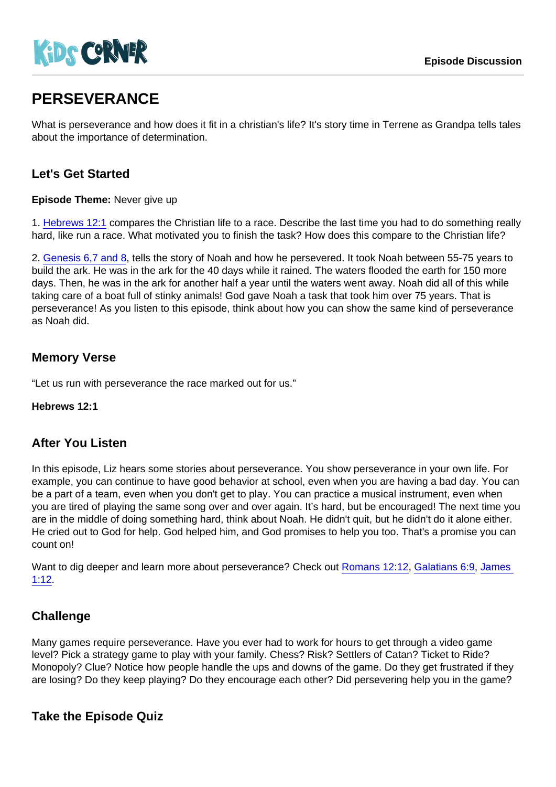# **PERSEVERANCE**

What is perseverance and how does it fit in a christian's life? It's story time in Terrene as Grandpa tells tales about the importance of determination.

# Let's Get Started

Episode Theme: Never give up

1. [Hebrews 12:1](https://www.biblegateway.com/passage/?search=Hebrews+12:1) compares the Christian life to a race. Describe the last time you had to do something really hard, like run a race. What motivated you to finish the task? How does this compare to the Christian life?

2. [Genesis 6,7 and 8,](https://www.biblegateway.com/passage/?search=Genesis+6+7+8) tells the story of Noah and how he persevered. It took Noah between 55-75 years to build the ark. He was in the ark for the 40 days while it rained. The waters flooded the earth for 150 more days. Then, he was in the ark for another half a year until the waters went away. Noah did all of this while taking care of a boat full of stinky animals! God gave Noah a task that took him over 75 years. That is perseverance! As you listen to this episode, think about how you can show the same kind of perseverance as Noah did.

# Memory Verse

"Let us run with perseverance the race marked out for us."

Hebrews 12:1

### After You Listen

In this episode, Liz hears some stories about perseverance. You show perseverance in your own life. For example, you can continue to have good behavior at school, even when you are having a bad day. You can be a part of a team, even when you don't get to play. You can practice a musical instrument, even when you are tired of playing the same song over and over again. It's hard, but be encouraged! The next time you are in the middle of doing something hard, think about Noah. He didn't quit, but he didn't do it alone either. He cried out to God for help. God helped him, and God promises to help you too. That's a promise you can count on!

Want to dig deeper and learn more about perseverance? Check out [Romans 12:12,](https://www.biblegateway.com/passage/?search=Romans+12:12) [Galatians 6:9](https://www.biblegateway.com/passage/?search=Galatians+6:9), [James](https://www.biblegateway.com/passage/?search=James+1:12)  [1:12](https://www.biblegateway.com/passage/?search=James+1:12).

### **Challenge**

Many games require perseverance. Have you ever had to work for hours to get through a video game level? Pick a strategy game to play with your family. Chess? Risk? Settlers of Catan? Ticket to Ride? Monopoly? Clue? Notice how people handle the ups and downs of the game. Do they get frustrated if they are losing? Do they keep playing? Do they encourage each other? Did persevering help you in the game?

Take the Episode Quiz